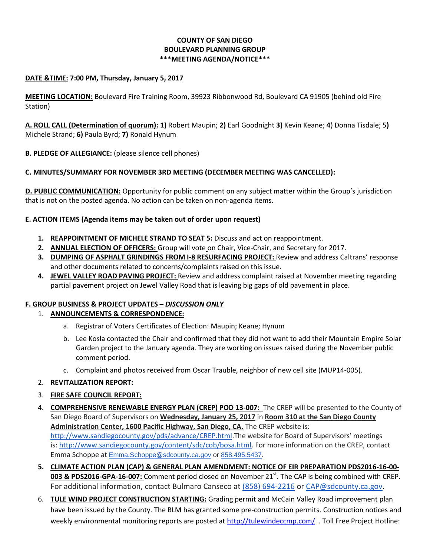# **COUNTY OF SAN DIEGO BOULEVARD PLANNING GROUP \*\*\*MEETING AGENDA/NOTICE\*\*\***

### **DATE &TIME: 7:00 PM, Thursday, January 5, 2017**

**MEETING LOCATION:** Boulevard Fire Training Room, 39923 Ribbonwood Rd, Boulevard CA 91905 (behind old Fire Station)

**A. ROLL CALL (Determination of quorum): 1)** Robert Maupin; **2)** Earl Goodnight **3)** Kevin Keane; **4**) Donna Tisdale; 5**)**  Michele Strand; **6)** Paula Byrd; **7)** Ronald Hynum

**B. PLEDGE OF ALLEGIANCE:** (please silence cell phones)

# **C. MINUTES/SUMMARY FOR NOVEMBER 3RD MEETING (DECEMBER MEETING WAS CANCELLED):**

**D. PUBLIC COMMUNICATION:** Opportunity for public comment on any subject matter within the Group's jurisdiction that is not on the posted agenda. No action can be taken on non-agenda items.

### **E. ACTION ITEMS (Agenda items may be taken out of order upon request)**

- **1. REAPPOINTMENT OF MICHELE STRAND TO SEAT 5:** Discuss and act on reappointment.
- **2. ANNUAL ELECTION OF OFFICERS:** Group will vote on Chair, Vice-Chair, and Secretary for 2017.
- **3. DUMPING OF ASPHALT GRINDINGS FROM I-8 RESURFACING PROJECT:** Review and address Caltrans' response and other documents related to concerns/complaints raised on this issue.
- **4. JEWEL VALLEY ROAD PAVING PROJECT:** Review and address complaint raised at November meeting regarding partial pavement project on Jewel Valley Road that is leaving big gaps of old pavement in place.

# **F. GROUP BUSINESS & PROJECT UPDATES –** *DISCUSSION ONLY*

# 1. **ANNOUNCEMENTS & CORRESPONDENCE:**

- a. Registrar of Voters Certificates of Election: Maupin; Keane; Hynum
- b. Lee Kosla contacted the Chair and confirmed that they did not want to add their Mountain Empire Solar Garden project to the January agenda. They are working on issues raised during the November public comment period.
- c. Complaint and photos received from Oscar Trauble, neighbor of new cell site (MUP14-005).

# 2. **REVITALIZATION REPORT:**

# 3. **FIRE SAFE COUNCIL REPORT:**

- 4. **COMPREHENSIVE RENEWABLE ENERGY PLAN (CREP) POD 13-007:** The CREP will be presented to the County of San Diego Board of Supervisors on **Wednesday, January 25, 2017** in **Room 310 at the San Diego County Administration Center, 1600 Pacific Highway, San Diego, CA.** The CREP website is: [http://www.sandiegocounty.gov/pds/advance/CREP.html.](http://www.sandiegocounty.gov/pds/advance/CREP.html)The website for Board of Supervisors' meetings is: [http://www.sandiegocounty.gov/content/sdc/cob/bosa.html.](http://www.sandiegocounty.gov/content/sdc/cob/bosa.html) For more information on the CREP, contact Emma Schoppe at [Emma.Schoppe@sdcounty.ca.gov](mailto:Emma.Schoppe@sdcounty.ca.gov) or [858.495.5437.](tel:858.495.5437)
- **5. CLIMATE ACTION PLAN (CAP) & GENERAL PLAN AMENDMENT: NOTICE OF EIR PREPARATION PDS2016-16-00-** 003 & PDS2016-GPA-16-007: Comment period closed on November 21<sup>st</sup>. The CAP is being combined with CREP. For additional information, contact Bulmaro Canseco at [\(858\) 694-2216](tel:%28858%29%20694-2216) o[r CAP@sdcounty.ca.gov.](mailto:CAP@sdcounty.ca.gov)
- 6. **TULE WIND PROJECT CONSTRUCTION STARTING:** Grading permit and McCain Valley Road improvement plan have been issued by the County. The BLM has granted some pre-construction permits. Construction notices and weekly environmental monitoring reports are posted at<http://tulewindeccmp.com/>. Toll Free Project Hotline: